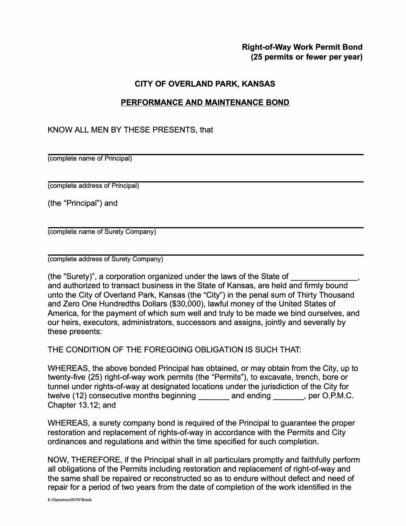## **Right-of-Way Work Permit Bond (25 permits or fewer per year)**

## **CITY OF OVERLAND PARK, KANSAS**

## **PERFORMANCE AND MAINTENANCE BOND**

## KNOW ALL MEN BY THESE PRESENTS, that

(complete name of Principal)

(complete address of Principal)

(the "Principal") and

(complete name of Surety Company)

(complete address of Surety Company)

(the "Surety)", a corporation organized under the laws of the State of \_\_\_\_\_\_ \_ and authorized to transact business in the State of Kansas, are held and firmly bound unto the City of Overland Park, Kansas (the "City") in the penal sum of Thirty Thousand and Zero One Hundredths Dollars (\$30,000), lawful money of the United States of America, for the payment of which sum well and truly to be made we bind ourselves, and our heirs, executors, administrators, successors and assigns, jointly and severally by these presents:

THE CONDITION OF THE FOREGOING OBLIGATION IS SUCH THAT:

WHEREAS, the above bonded Principal has obtained, or may obtain from the City, up to twenty-five (25) right-of-way work permits (the "Permits"), to excavate, trench, bore or tunnel under rights-of-way at designated locations under the jurisdiction of the City for twelve (12) consecutive months beginning and ending entity per O.P.M.C. Chapter 13.12; and

WHEREAS, a surety company bond is required of the Principal to guarantee the proper restoration and replacement of rights-of-way in accordance with the Permits and City ordinances and regulations and within the time specified for such completion.

NOW, THEREFORE, if the Principal shall in all particulars promptly and faithfully perform all obligations of the Permits including restoration and replacement of right-of-way and the same shall be repaired or reconstructed so as to endure without defect and need of repair for a period of two years from the date of completion of the work identified in the